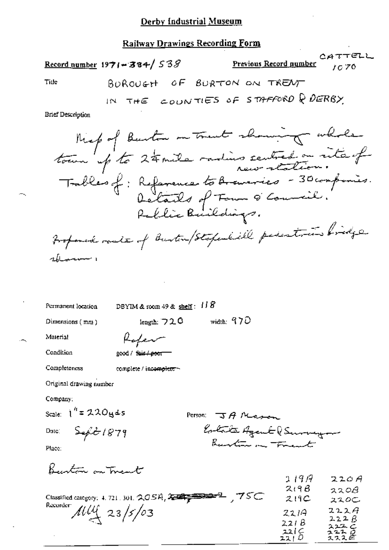## Derby Industrial Museum

## **Railway Drawings Recording Form**

Record number  $1971 - 384 / 538$ 

 $\overline{1}$ 

CATTELL <u>Previous Record number</u> rc 70

 $\pm 2.5$ 

Title

$$
BOROU6H \quad \text{of} \quad BURTON \quad \text{on} \quad TRENT
$$

$$
N \text{ THE} \text{COUNTIES OF STAFFORME K UERBY}
$$

**Brief Description** 

Permanent location

DBYIM & room 49 & shelf:  $118$ 

Dimensions (mm)

length:  $720$  width:  $970$ 

Material

Condition

Rafer good / fair / poor

Completeness

complete / incomplete ~

Original drawing number

Company:

Scale:  $1'' = 220$ yds

Dute:

Person:  $\Im A$  Massen Estate Agent (Surveyor Burton in Frank

Place:

Burton on Trent

 $Seft1879$ 

|                                                                 | 1197  | 220A         |
|-----------------------------------------------------------------|-------|--------------|
|                                                                 | 219B  | 320B         |
| 75C<br>Classified category: 4, 721, 301, $2GSA$ , $2.337777772$ | 219C  | ススのこ         |
| Recorder:<br>$114 \frac{4}{3}/63$                               | 2214  | 222A         |
|                                                                 | 221 B | 222B<br>スエユン |
|                                                                 | 221 C | 2220         |
|                                                                 | 221 O | スススモ         |